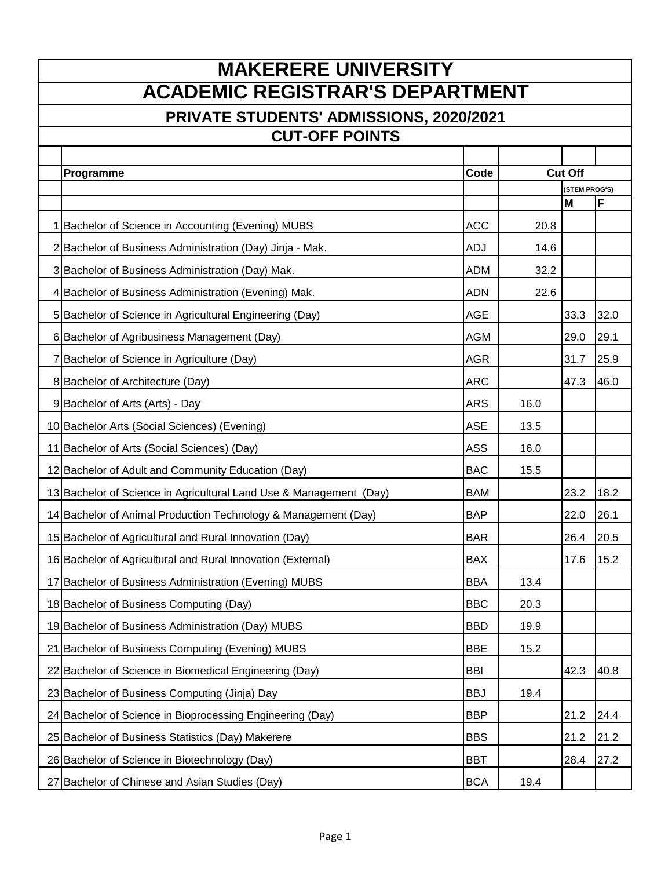| <b>MAKERERE UNIVERSITY</b>                                         |            |      |                    |      |  |
|--------------------------------------------------------------------|------------|------|--------------------|------|--|
| <b>ACADEMIC REGISTRAR'S DEPARTMENT</b>                             |            |      |                    |      |  |
| PRIVATE STUDENTS' ADMISSIONS, 2020/2021                            |            |      |                    |      |  |
| <b>CUT-OFF POINTS</b>                                              |            |      |                    |      |  |
|                                                                    |            |      |                    |      |  |
| Programme                                                          | Code       |      | <b>Cut Off</b>     |      |  |
|                                                                    |            |      | (STEM PROG'S)<br>M | F    |  |
| 1 Bachelor of Science in Accounting (Evening) MUBS                 | <b>ACC</b> | 20.8 |                    |      |  |
| 2 Bachelor of Business Administration (Day) Jinja - Mak.           | <b>ADJ</b> | 14.6 |                    |      |  |
| 3 Bachelor of Business Administration (Day) Mak.                   | <b>ADM</b> | 32.2 |                    |      |  |
| 4 Bachelor of Business Administration (Evening) Mak.               | <b>ADN</b> | 22.6 |                    |      |  |
| 5 Bachelor of Science in Agricultural Engineering (Day)            | <b>AGE</b> |      | 33.3               | 32.0 |  |
| 6 Bachelor of Agribusiness Management (Day)                        | <b>AGM</b> |      | 29.0               | 29.1 |  |
| 7 Bachelor of Science in Agriculture (Day)                         | <b>AGR</b> |      | 31.7               | 25.9 |  |
| 8 Bachelor of Architecture (Day)                                   | <b>ARC</b> |      | 47.3               | 46.0 |  |
| 9 Bachelor of Arts (Arts) - Day                                    | <b>ARS</b> | 16.0 |                    |      |  |
| 10 Bachelor Arts (Social Sciences) (Evening)                       | <b>ASE</b> | 13.5 |                    |      |  |
| 11 Bachelor of Arts (Social Sciences) (Day)                        | <b>ASS</b> | 16.0 |                    |      |  |
| 12 Bachelor of Adult and Community Education (Day)                 | <b>BAC</b> | 15.5 |                    |      |  |
| 13 Bachelor of Science in Agricultural Land Use & Management (Day) | <b>BAM</b> |      | 23.2               | 18.2 |  |
| 14 Bachelor of Animal Production Technology & Management (Day)     | <b>BAP</b> |      | 22.0               | 26.1 |  |
| 15 Bachelor of Agricultural and Rural Innovation (Day)             | <b>BAR</b> |      | 26.4               | 20.5 |  |
| 16 Bachelor of Agricultural and Rural Innovation (External)        | <b>BAX</b> |      | 17.6               | 15.2 |  |
| 17 Bachelor of Business Administration (Evening) MUBS              | <b>BBA</b> | 13.4 |                    |      |  |
| 18 Bachelor of Business Computing (Day)                            | <b>BBC</b> | 20.3 |                    |      |  |
| 19 Bachelor of Business Administration (Day) MUBS                  | <b>BBD</b> | 19.9 |                    |      |  |
| 21 Bachelor of Business Computing (Evening) MUBS                   | <b>BBE</b> | 15.2 |                    |      |  |
| 22 Bachelor of Science in Biomedical Engineering (Day)             | <b>BBI</b> |      | 42.3               | 40.8 |  |
| 23 Bachelor of Business Computing (Jinja) Day                      | <b>BBJ</b> | 19.4 |                    |      |  |
| 24 Bachelor of Science in Bioprocessing Engineering (Day)          | <b>BBP</b> |      | 21.2               | 24.4 |  |
| 25 Bachelor of Business Statistics (Day) Makerere                  | <b>BBS</b> |      | 21.2               | 21.2 |  |
| 26 Bachelor of Science in Biotechnology (Day)                      | <b>BBT</b> |      | 28.4               | 27.2 |  |
| 27 Bachelor of Chinese and Asian Studies (Day)                     | <b>BCA</b> | 19.4 |                    |      |  |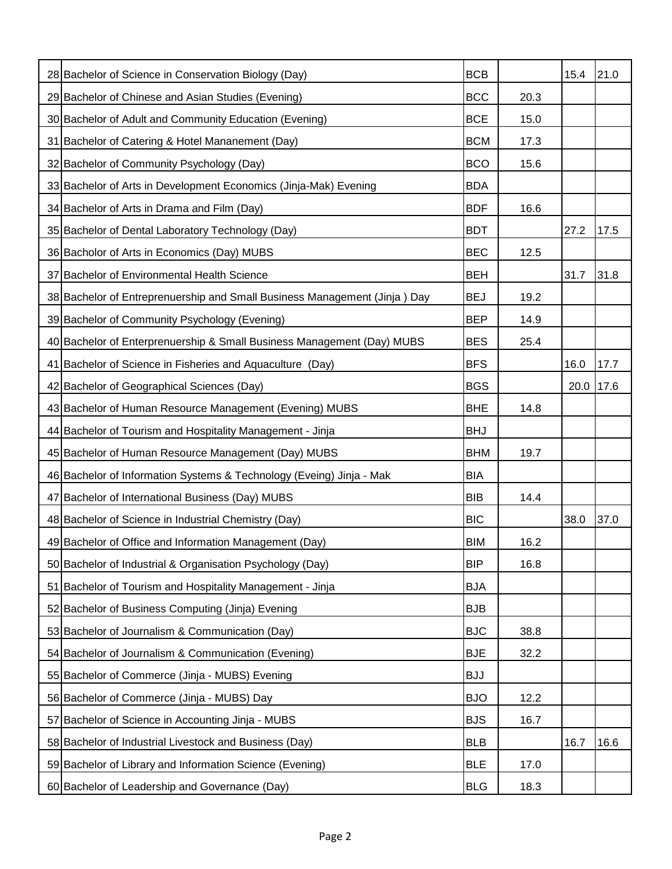| 28 Bachelor of Science in Conservation Biology (Day)                      | <b>BCB</b> |      | 15.4 | 21.0 |
|---------------------------------------------------------------------------|------------|------|------|------|
| 29 Bachelor of Chinese and Asian Studies (Evening)                        | <b>BCC</b> | 20.3 |      |      |
| 30 Bachelor of Adult and Community Education (Evening)                    | <b>BCE</b> | 15.0 |      |      |
| 31 Bachelor of Catering & Hotel Mananement (Day)                          | <b>BCM</b> | 17.3 |      |      |
| 32 Bachelor of Community Psychology (Day)                                 | <b>BCO</b> | 15.6 |      |      |
| 33 Bachelor of Arts in Development Economics (Jinja-Mak) Evening          | <b>BDA</b> |      |      |      |
| 34 Bachelor of Arts in Drama and Film (Day)                               | <b>BDF</b> | 16.6 |      |      |
| 35 Bachelor of Dental Laboratory Technology (Day)                         | <b>BDT</b> |      | 27.2 | 17.5 |
| 36 Bacholor of Arts in Economics (Day) MUBS                               | <b>BEC</b> | 12.5 |      |      |
| 37 Bachelor of Environmental Health Science                               | <b>BEH</b> |      | 31.7 | 31.8 |
| 38 Bachelor of Entreprenuership and Small Business Management (Jinja) Day | <b>BEJ</b> | 19.2 |      |      |
| 39 Bachelor of Community Psychology (Evening)                             | <b>BEP</b> | 14.9 |      |      |
| 40 Bachelor of Enterprenuership & Small Business Management (Day) MUBS    | <b>BES</b> | 25.4 |      |      |
| 41 Bachelor of Science in Fisheries and Aquaculture (Day)                 | <b>BFS</b> |      | 16.0 | 17.7 |
| 42 Bachelor of Geographical Sciences (Day)                                | <b>BGS</b> |      | 20.0 | 17.6 |
| 43 Bachelor of Human Resource Management (Evening) MUBS                   | <b>BHE</b> | 14.8 |      |      |
| 44 Bachelor of Tourism and Hospitality Management - Jinja                 | <b>BHJ</b> |      |      |      |
| 45 Bachelor of Human Resource Management (Day) MUBS                       | <b>BHM</b> | 19.7 |      |      |
| 46 Bachelor of Information Systems & Technology (Eveing) Jinja - Mak      | <b>BIA</b> |      |      |      |
| 47 Bachelor of International Business (Day) MUBS                          | <b>BIB</b> | 14.4 |      |      |
| 48 Bachelor of Science in Industrial Chemistry (Day)                      | <b>BIC</b> |      | 38.0 | 37.0 |
| 49 Bachelor of Office and Information Management (Day)                    | <b>BIM</b> | 16.2 |      |      |
| 50 Bachelor of Industrial & Organisation Psychology (Day)                 | <b>BIP</b> | 16.8 |      |      |
| 51 Bachelor of Tourism and Hospitality Management - Jinja                 | <b>BJA</b> |      |      |      |
| 52 Bachelor of Business Computing (Jinja) Evening                         | <b>BJB</b> |      |      |      |
| 53 Bachelor of Journalism & Communication (Day)                           | <b>BJC</b> | 38.8 |      |      |
| 54 Bachelor of Journalism & Communication (Evening)                       | <b>BJE</b> | 32.2 |      |      |
| 55 Bachelor of Commerce (Jinja - MUBS) Evening                            | <b>BJJ</b> |      |      |      |
| 56 Bachelor of Commerce (Jinja - MUBS) Day                                | <b>BJO</b> | 12.2 |      |      |
| 57 Bachelor of Science in Accounting Jinja - MUBS                         | <b>BJS</b> | 16.7 |      |      |
| 58 Bachelor of Industrial Livestock and Business (Day)                    | <b>BLB</b> |      | 16.7 | 16.6 |
| 59 Bachelor of Library and Information Science (Evening)                  | <b>BLE</b> | 17.0 |      |      |
| 60 Bachelor of Leadership and Governance (Day)                            | <b>BLG</b> | 18.3 |      |      |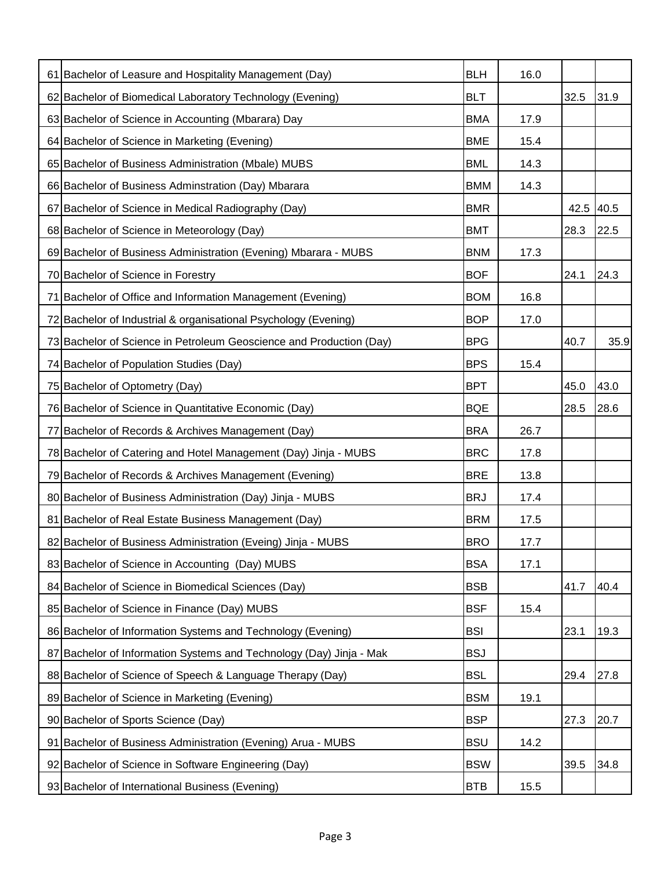| 61 Bachelor of Leasure and Hospitality Management (Day)             | <b>BLH</b> | 16.0 |           |      |
|---------------------------------------------------------------------|------------|------|-----------|------|
| 62 Bachelor of Biomedical Laboratory Technology (Evening)           | <b>BLT</b> |      | 32.5      | 31.9 |
| 63 Bachelor of Science in Accounting (Mbarara) Day                  | <b>BMA</b> | 17.9 |           |      |
| 64 Bachelor of Science in Marketing (Evening)                       | <b>BME</b> | 15.4 |           |      |
| 65 Bachelor of Business Administration (Mbale) MUBS                 | <b>BML</b> | 14.3 |           |      |
| 66 Bachelor of Business Adminstration (Day) Mbarara                 | <b>BMM</b> | 14.3 |           |      |
| 67 Bachelor of Science in Medical Radiography (Day)                 | <b>BMR</b> |      | 42.5 40.5 |      |
| 68 Bachelor of Science in Meteorology (Day)                         | <b>BMT</b> |      | 28.3      | 22.5 |
| 69 Bachelor of Business Administration (Evening) Mbarara - MUBS     | <b>BNM</b> | 17.3 |           |      |
| 70 Bachelor of Science in Forestry                                  | <b>BOF</b> |      | 24.1      | 24.3 |
| 71 Bachelor of Office and Information Management (Evening)          | <b>BOM</b> | 16.8 |           |      |
| 72 Bachelor of Industrial & organisational Psychology (Evening)     | <b>BOP</b> | 17.0 |           |      |
| 73 Bachelor of Science in Petroleum Geoscience and Production (Day) | <b>BPG</b> |      | 40.7      | 35.9 |
| 74 Bachelor of Population Studies (Day)                             | <b>BPS</b> | 15.4 |           |      |
| 75 Bachelor of Optometry (Day)                                      | <b>BPT</b> |      | 45.0      | 43.0 |
| 76 Bachelor of Science in Quantitative Economic (Day)               | <b>BQE</b> |      | 28.5      | 28.6 |
| 77 Bachelor of Records & Archives Management (Day)                  | <b>BRA</b> | 26.7 |           |      |
| 78 Bachelor of Catering and Hotel Management (Day) Jinja - MUBS     | <b>BRC</b> | 17.8 |           |      |
| 79 Bachelor of Records & Archives Management (Evening)              | <b>BRE</b> | 13.8 |           |      |
| 80 Bachelor of Business Administration (Day) Jinja - MUBS           | <b>BRJ</b> | 17.4 |           |      |
| 81 Bachelor of Real Estate Business Management (Day)                | <b>BRM</b> | 17.5 |           |      |
| 82 Bachelor of Business Administration (Eveing) Jinja - MUBS        | <b>BRO</b> | 17.7 |           |      |
| 83 Bachelor of Science in Accounting (Day) MUBS                     | <b>BSA</b> | 17.1 |           |      |
| 84 Bachelor of Science in Biomedical Sciences (Day)                 | <b>BSB</b> |      | 41.7      | 40.4 |
| 85 Bachelor of Science in Finance (Day) MUBS                        | <b>BSF</b> | 15.4 |           |      |
| 86 Bachelor of Information Systems and Technology (Evening)         | <b>BSI</b> |      | 23.1      | 19.3 |
| 87 Bachelor of Information Systems and Technology (Day) Jinja - Mak | <b>BSJ</b> |      |           |      |
| 88 Bachelor of Science of Speech & Language Therapy (Day)           | <b>BSL</b> |      | 29.4      | 27.8 |
| 89 Bachelor of Science in Marketing (Evening)                       | <b>BSM</b> | 19.1 |           |      |
| 90 Bachelor of Sports Science (Day)                                 | <b>BSP</b> |      | 27.3      | 20.7 |
| 91 Bachelor of Business Administration (Evening) Arua - MUBS        | <b>BSU</b> | 14.2 |           |      |
| 92 Bachelor of Science in Software Engineering (Day)                | <b>BSW</b> |      | 39.5      | 34.8 |
| 93 Bachelor of International Business (Evening)                     | <b>BTB</b> | 15.5 |           |      |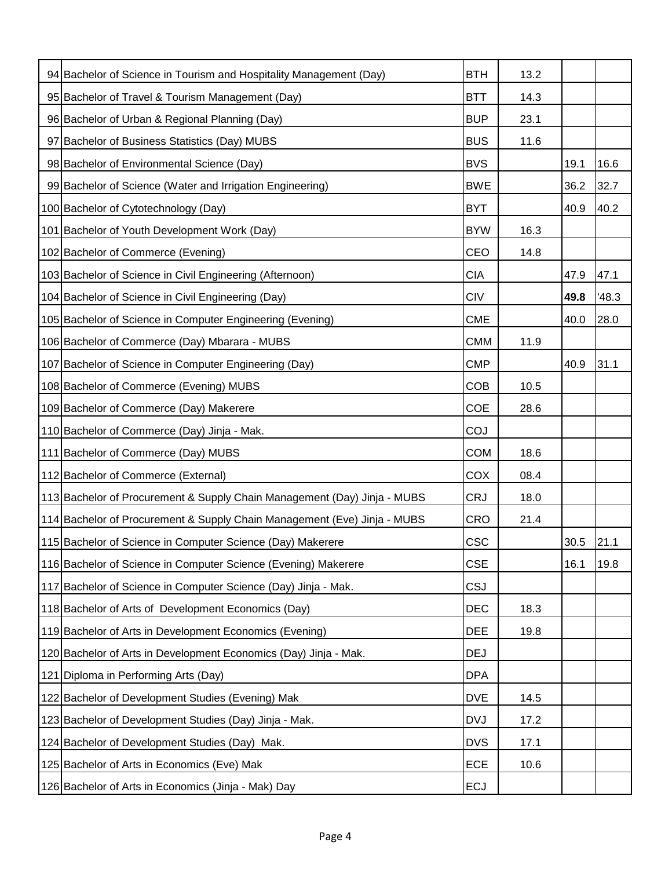| 94 Bachelor of Science in Tourism and Hospitality Management (Day)       | <b>BTH</b> | 13.2 |      |       |
|--------------------------------------------------------------------------|------------|------|------|-------|
| 95 Bachelor of Travel & Tourism Management (Day)                         | <b>BTT</b> | 14.3 |      |       |
| 96 Bachelor of Urban & Regional Planning (Day)                           | <b>BUP</b> | 23.1 |      |       |
| 97 Bachelor of Business Statistics (Day) MUBS                            | <b>BUS</b> | 11.6 |      |       |
| 98 Bachelor of Environmental Science (Day)                               | <b>BVS</b> |      | 19.1 | 16.6  |
| 99 Bachelor of Science (Water and Irrigation Engineering)                | <b>BWE</b> |      | 36.2 | 32.7  |
| 100 Bachelor of Cytotechnology (Day)                                     | <b>BYT</b> |      | 40.9 | 40.2  |
| 101 Bachelor of Youth Development Work (Day)                             | <b>BYW</b> | 16.3 |      |       |
| 102 Bachelor of Commerce (Evening)                                       | CEO        | 14.8 |      |       |
| 103 Bachelor of Science in Civil Engineering (Afternoon)                 | <b>CIA</b> |      | 47.9 | 47.1  |
| 104 Bachelor of Science in Civil Engineering (Day)                       | <b>CIV</b> |      | 49.8 | '48.3 |
| 105 Bachelor of Science in Computer Engineering (Evening)                | <b>CME</b> |      | 40.0 | 28.0  |
| 106 Bachelor of Commerce (Day) Mbarara - MUBS                            | <b>CMM</b> | 11.9 |      |       |
| 107 Bachelor of Science in Computer Engineering (Day)                    | <b>CMP</b> |      | 40.9 | 31.1  |
| 108 Bachelor of Commerce (Evening) MUBS                                  | <b>COB</b> | 10.5 |      |       |
| 109 Bachelor of Commerce (Day) Makerere                                  | <b>COE</b> | 28.6 |      |       |
| 110 Bachelor of Commerce (Day) Jinja - Mak.                              | COJ        |      |      |       |
| 111 Bachelor of Commerce (Day) MUBS                                      | <b>COM</b> | 18.6 |      |       |
| 112 Bachelor of Commerce (External)                                      | COX        | 08.4 |      |       |
| 113 Bachelor of Procurement & Supply Chain Management (Day) Jinja - MUBS | <b>CRJ</b> | 18.0 |      |       |
| 114 Bachelor of Procurement & Supply Chain Management (Eve) Jinja - MUBS | <b>CRO</b> | 21.4 |      |       |
| 115 Bachelor of Science in Computer Science (Day) Makerere               | <b>CSC</b> |      | 30.5 | 21.1  |
| 116 Bachelor of Science in Computer Science (Evening) Makerere           | <b>CSE</b> |      | 16.1 | 19.8  |
| 117 Bachelor of Science in Computer Science (Day) Jinja - Mak.           | <b>CSJ</b> |      |      |       |
| 118 Bachelor of Arts of Development Economics (Day)                      | <b>DEC</b> | 18.3 |      |       |
| 119 Bachelor of Arts in Development Economics (Evening)                  | <b>DEE</b> | 19.8 |      |       |
| 120 Bachelor of Arts in Development Economics (Day) Jinja - Mak.         | <b>DEJ</b> |      |      |       |
| 121 Diploma in Performing Arts (Day)                                     | <b>DPA</b> |      |      |       |
| 122 Bachelor of Development Studies (Evening) Mak                        | <b>DVE</b> | 14.5 |      |       |
| 123 Bachelor of Development Studies (Day) Jinja - Mak.                   | <b>DVJ</b> | 17.2 |      |       |
| 124 Bachelor of Development Studies (Day) Mak.                           | <b>DVS</b> | 17.1 |      |       |
| 125 Bachelor of Arts in Economics (Eve) Mak                              | ECE        | 10.6 |      |       |
| 126 Bachelor of Arts in Economics (Jinja - Mak) Day                      | <b>ECJ</b> |      |      |       |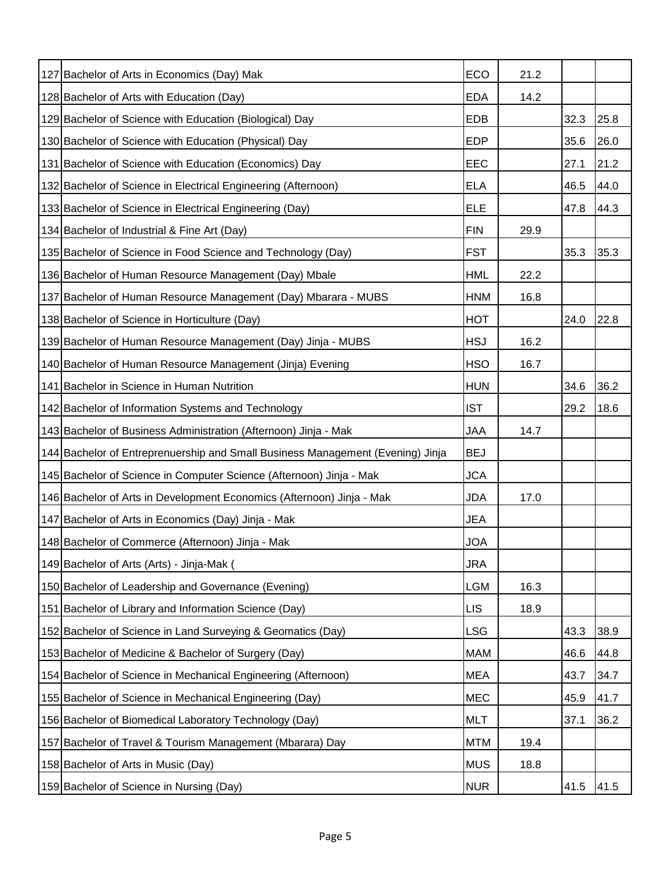| 127 Bachelor of Arts in Economics (Day) Mak                                    | ECO        | 21.2 |      |      |
|--------------------------------------------------------------------------------|------------|------|------|------|
| 128 Bachelor of Arts with Education (Day)                                      | <b>EDA</b> | 14.2 |      |      |
| 129 Bachelor of Science with Education (Biological) Day                        | EDB        |      | 32.3 | 25.8 |
| 130 Bachelor of Science with Education (Physical) Day                          | <b>EDP</b> |      | 35.6 | 26.0 |
| 131 Bachelor of Science with Education (Economics) Day                         | EEC        |      | 27.1 | 21.2 |
| 132 Bachelor of Science in Electrical Engineering (Afternoon)                  | <b>ELA</b> |      | 46.5 | 44.0 |
| 133 Bachelor of Science in Electrical Engineering (Day)                        | <b>ELE</b> |      | 47.8 | 44.3 |
| 134 Bachelor of Industrial & Fine Art (Day)                                    | <b>FIN</b> | 29.9 |      |      |
| 135 Bachelor of Science in Food Science and Technology (Day)                   | <b>FST</b> |      | 35.3 | 35.3 |
| 136 Bachelor of Human Resource Management (Day) Mbale                          | <b>HML</b> | 22.2 |      |      |
| 137 Bachelor of Human Resource Management (Day) Mbarara - MUBS                 | <b>HNM</b> | 16.8 |      |      |
| 138 Bachelor of Science in Horticulture (Day)                                  | <b>HOT</b> |      | 24.0 | 22.8 |
| 139 Bachelor of Human Resource Management (Day) Jinja - MUBS                   | <b>HSJ</b> | 16.2 |      |      |
| 140 Bachelor of Human Resource Management (Jinja) Evening                      | <b>HSO</b> | 16.7 |      |      |
| 141 Bachelor in Science in Human Nutrition                                     | <b>HUN</b> |      | 34.6 | 36.2 |
| 142 Bachelor of Information Systems and Technology                             | <b>IST</b> |      | 29.2 | 18.6 |
| 143 Bachelor of Business Administration (Afternoon) Jinja - Mak                | <b>JAA</b> | 14.7 |      |      |
| 144 Bachelor of Entreprenuership and Small Business Management (Evening) Jinja | <b>BEJ</b> |      |      |      |
| 145 Bachelor of Science in Computer Science (Afternoon) Jinja - Mak            | <b>JCA</b> |      |      |      |
| 146 Bachelor of Arts in Development Economics (Afternoon) Jinja - Mak          | JDA        | 17.0 |      |      |
| 147 Bachelor of Arts in Economics (Day) Jinja - Mak                            | <b>JEA</b> |      |      |      |
| 148 Bachelor of Commerce (Afternoon) Jinja - Mak                               | <b>JOA</b> |      |      |      |
| 149 Bachelor of Arts (Arts) - Jinja-Mak (                                      | <b>JRA</b> |      |      |      |
| 150 Bachelor of Leadership and Governance (Evening)                            | <b>LGM</b> | 16.3 |      |      |
| 151 Bachelor of Library and Information Science (Day)                          | <b>LIS</b> | 18.9 |      |      |
| 152 Bachelor of Science in Land Surveying & Geomatics (Day)                    | <b>LSG</b> |      | 43.3 | 38.9 |
| 153 Bachelor of Medicine & Bachelor of Surgery (Day)                           | <b>MAM</b> |      | 46.6 | 44.8 |
| 154 Bachelor of Science in Mechanical Engineering (Afternoon)                  | <b>MEA</b> |      | 43.7 | 34.7 |
| 155 Bachelor of Science in Mechanical Engineering (Day)                        | <b>MEC</b> |      | 45.9 | 41.7 |
| 156 Bachelor of Biomedical Laboratory Technology (Day)                         | <b>MLT</b> |      | 37.1 | 36.2 |
| 157 Bachelor of Travel & Tourism Management (Mbarara) Day                      | <b>MTM</b> | 19.4 |      |      |
| 158 Bachelor of Arts in Music (Day)                                            | <b>MUS</b> | 18.8 |      |      |
| 159 Bachelor of Science in Nursing (Day)                                       | <b>NUR</b> |      | 41.5 | 41.5 |